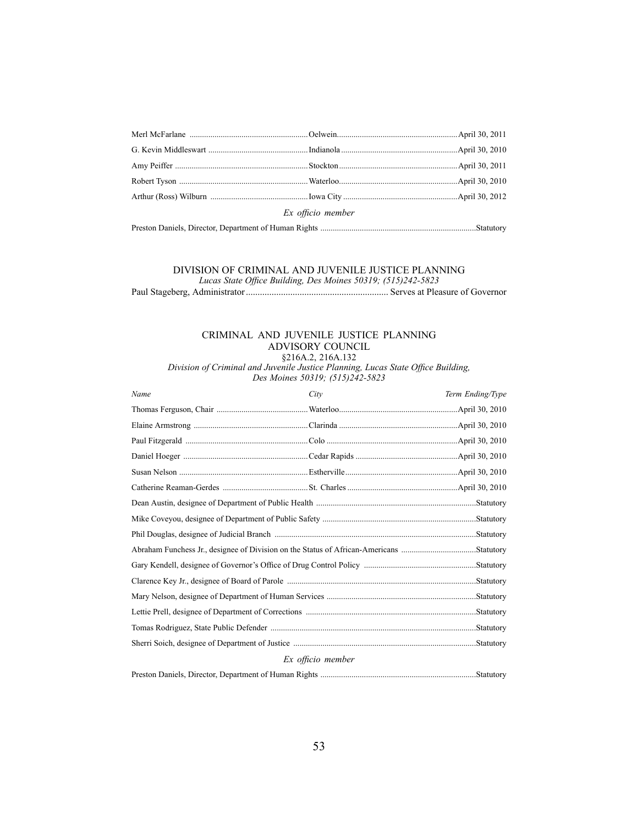| Ex officio member |  |  |  |  |
|-------------------|--|--|--|--|
|                   |  |  |  |  |

## DIVISION OF CRIMINAL AND JUVENILE JUSTICE PLANNING

*Lucas State Office Building, Des Moines 50319; (515)242-5823* Paul Stageberg, Administrator ............................................................. Serves at Pleasure of Governor

## CRIMINAL AND JUVENILE JUSTICE PLANNING ADVISORY COUNCIL

§216A.2, 216A.132 Division of Criminal and Juvenile Justice Planning, Lucas State Office Building,<br>
Des Maines 50210: (515)242-5922 *Des Moines 50319; (515)242-5823*

| Name                                                                                    | City | Term Ending/Type |  |  |
|-----------------------------------------------------------------------------------------|------|------------------|--|--|
|                                                                                         |      |                  |  |  |
|                                                                                         |      |                  |  |  |
|                                                                                         |      |                  |  |  |
|                                                                                         |      |                  |  |  |
|                                                                                         |      |                  |  |  |
|                                                                                         |      |                  |  |  |
|                                                                                         |      |                  |  |  |
|                                                                                         |      |                  |  |  |
|                                                                                         |      |                  |  |  |
| Abraham Funchess Jr., designee of Division on the Status of African-Americans Statutory |      |                  |  |  |
|                                                                                         |      |                  |  |  |
|                                                                                         |      |                  |  |  |
|                                                                                         |      |                  |  |  |
|                                                                                         |      |                  |  |  |
|                                                                                         |      |                  |  |  |
|                                                                                         |      |                  |  |  |
| Ex officio member                                                                       |      |                  |  |  |
|                                                                                         |      |                  |  |  |